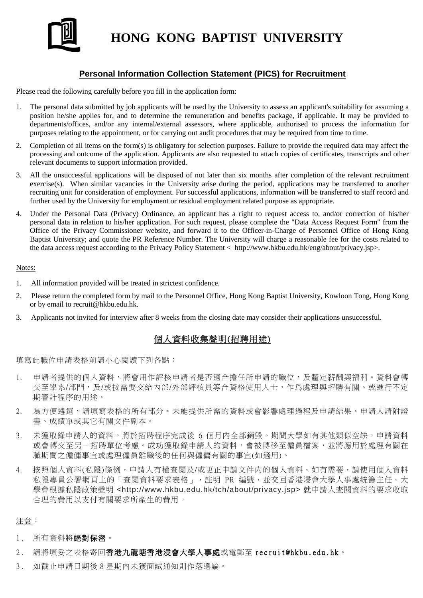

# **HONG KONG BAPTIST UNIVERSITY**

## **Personal Information Collection Statement (PICS) for Recruitment**

Please read the following carefully before you fill in the application form:

- 1. The personal data submitted by job applicants will be used by the University to assess an applicant's suitability for assuming a position he/she applies for, and to determine the remuneration and benefits package, if applicable. It may be provided to departments/offices, and/or any internal/external assessors, where applicable, authorised to process the information for purposes relating to the appointment, or for carrying out audit procedures that may be required from time to time.
- 2. Completion of all items on the form(s) is obligatory for selection purposes. Failure to provide the required data may affect the processing and outcome of the application. Applicants are also requested to attach copies of certificates, transcripts and other relevant documents to support information provided.
- 3. All the unsuccessful applications will be disposed of not later than six months after completion of the relevant recruitment exercise(s). When similar vacancies in the University arise during the period, applications may be transferred to another recruiting unit for consideration of employment. For successful applications, information will be transferred to staff record and further used by the University for employment or residual employment related purpose as appropriate.
- 4. Under the Personal Data (Privacy) Ordinance, an applicant has a right to request access to, and/or correction of his/her personal data in relation to his/her application. For such request, please complete the "Data Access Request Form" from the Office of the Privacy Commissioner website, and forward it to the Officer-in-Charge of Personnel Office of Hong Kong Baptist University; and quote the PR Reference Number. The University will charge a reasonable fee for the costs related to the data access request according to the Privacy Policy Statement < http://www.hkbu.edu.hk/eng/about/privacy.jsp>.

#### Notes:

- 1. All information provided will be treated in strictest confidence.
- 2. Please return the completed form by mail to the Personnel Office, Hong Kong Baptist University, Kowloon Tong, Hong Kong or by email to recruit@hkbu.edu.hk.
- 3. Applicants not invited for interview after 8 weeks from the closing date may consider their applications unsuccessful.

### 個人資料收集聲明(招聘用途)

填寫此職位申請表格前請小心閱讀下列各點:

- 1. 申請者提供的個人資料,將會用作評核申請者是否適合擔任所申請的職位,及釐定薪酬與福利。資料會轉 交至學系/部門,及/或按需要交給内部/外部評核員等合資格使用人士,作爲處理與招聘有關、或進行不定 期審計程序的用途。
- 2. 為方便遴選,請填寫表格的所有部分。未能提供所需的資料或會影響處理過程及申請結果。申請人請附證 書、成績單或其它有關文件副本。
- 3. 未獲取錄申請人的資料,將於招聘程序完成後 6 個月內全部銷毀。期間大學如有其他類似空缺,申請資料 或會轉交至另一招聘單位考慮。成功獲取錄申請人的資料,會被轉移至僱員檔案,並將應用於處理有關在 職期間之僱傭事宜或處理僱員離職後的任何與僱傭有關的事宜(如適用)。
- 4. 按照個人資料(私隱)條例,申請人有權查閲及/或更正申請文件内的個人資料。如有需要,請使用個人資料 私隱專員公署網頁上的「查閲資料要求表格」,註明 PR 編號,並交回香港浸會大學人事處統籌主任。大 學會根據私隱政策聲明 <http://www.hkbu.edu.hk/tch/about/privacy.jsp> 就申請人查閱資料的要求收取 合理的費用以支付有關要求所產生的費用。

注意:

- 1. 所有資料將絕對保密。
- 2. 請將填妥之表格寄回香港九龍塘香港浸會大學人事處或電郵至 recruit@hkbu.edu.hk。
- 3. 如截止申請日期後 8 星期內未獲面試通知則作落選論。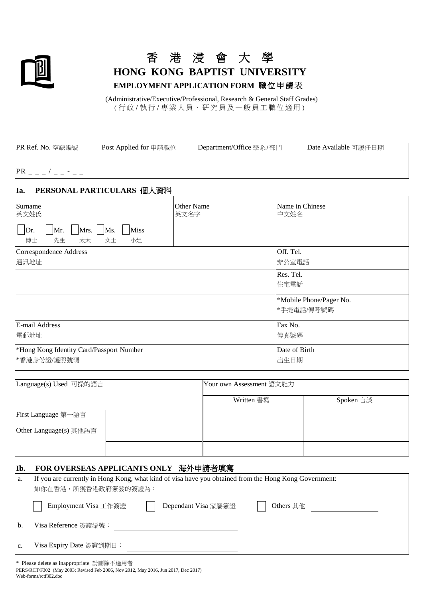

# 香 港 浸 會 大 學 **HONG KONG BAPTIST UNIVERSITY EMPLOYMENT APPLICATION FORM** 職位申請表

(Administrative/Executive/Professional, Research & General Staff Grades) (行 政 /執 行 /專 業 人員、研究員及一般員工職位適用 )

| PR Ref. No. 空缺編號<br>Post Applied for 申請職位                                              | Department/Office 學系/部門 | Date Available 可履任日期                  |
|----------------------------------------------------------------------------------------|-------------------------|---------------------------------------|
| $PR$ _ _ _ / _ _ - _ _                                                                 |                         |                                       |
| PERSONAL PARTICULARS 個人資料<br>Ia.                                                       |                         |                                       |
| Surname<br>英文姓氏<br>Mrs. Ms.<br><b>Miss</b><br>Mr.<br>Dr.<br>太太<br>博士<br>先生<br>女士<br>小姐 | Other Name<br>英文名字      | Name in Chinese<br>中文姓名               |
| Correspondence Address<br>通訊地址                                                         |                         | Off. Tel.<br>辦公室電話                    |
|                                                                                        |                         | Res. Tel.<br>住宅電話                     |
|                                                                                        |                         | *Mobile Phone/Pager No.<br>*手提電話/傳呼號碼 |
| E-mail Address<br>電郵地址                                                                 |                         | Fax No.<br>傳真號碼                       |
| *Hong Kong Identity Card/Passport Number<br>*香港身份證/護照號碼                                |                         | Date of Birth<br>出生日期                 |

| Language(s) Used 可操的語言 |  | Your own Assessment 語文能力 |           |  |  |
|------------------------|--|--------------------------|-----------|--|--|
|                        |  | Written 書寫               | Spoken 言談 |  |  |
| First Language 第一語言    |  |                          |           |  |  |
| Other Language(s) 其他語言 |  |                          |           |  |  |
|                        |  |                          |           |  |  |

#### **Ib. FOR OVERSEAS APPLICANTS ONLY** 海外申請者填寫

| a. | If you are currently in Hong Kong, what kind of visa have you obtained from the Hong Kong Government:<br>如你在香港,所獲香港政府簽發的簽證為: |                     |           |  |  |
|----|------------------------------------------------------------------------------------------------------------------------------|---------------------|-----------|--|--|
|    | Employment Visa 工作簽證                                                                                                         | Dependant Visa 家屬簽證 | Others 其他 |  |  |
| b. | Visa Reference 簽證編號:                                                                                                         |                     |           |  |  |
|    | Visa Expiry Date 簽證到期日:                                                                                                      |                     |           |  |  |

\* Please delete as inappropriate 請刪除不適用者 PERS/RCT/F302 (May 2003; Revised Feb 2006, Nov 2012, May 2016, Jun 2017, Dec 2017) Web-forms/rctf302.doc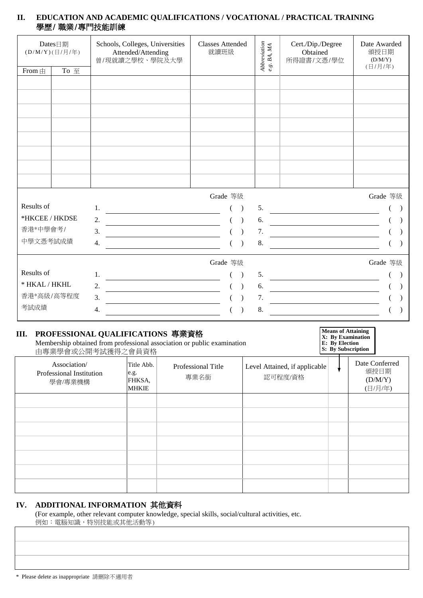## **II. EDUCATION AND ACADEMIC QUALIFICATIONS / VOCATIONAL / PRACTICAL TRAINING** 學歷/ 職業/專門技能訓練

| Dates日期<br>(D/M/Y)(日/月/年) |      | Schools, Colleges, Universities<br>Attended/Attending<br>曾/現就讀之學校、學院及大學                                                                                                                                                                              | <b>Classes Attended</b><br>就讀班級 | ${\it Abbreviation} \label{eq:abreviation} \begin{split} &A b b reviation \\ &e.g. \ BA, MA \end{split}$ | Cert./Dip./Degree<br>Obtained<br>所得證書/文憑/學位                                                                            | Date Awarded<br>頒授日期<br>(D/M/Y)<br>(日/月/年) |
|---------------------------|------|------------------------------------------------------------------------------------------------------------------------------------------------------------------------------------------------------------------------------------------------------|---------------------------------|----------------------------------------------------------------------------------------------------------|------------------------------------------------------------------------------------------------------------------------|--------------------------------------------|
| From $\pm$                | To 至 |                                                                                                                                                                                                                                                      |                                 |                                                                                                          |                                                                                                                        |                                            |
|                           |      |                                                                                                                                                                                                                                                      |                                 |                                                                                                          |                                                                                                                        |                                            |
|                           |      |                                                                                                                                                                                                                                                      |                                 |                                                                                                          |                                                                                                                        |                                            |
|                           |      |                                                                                                                                                                                                                                                      |                                 |                                                                                                          |                                                                                                                        |                                            |
|                           |      |                                                                                                                                                                                                                                                      |                                 |                                                                                                          |                                                                                                                        |                                            |
|                           |      |                                                                                                                                                                                                                                                      |                                 |                                                                                                          |                                                                                                                        |                                            |
|                           |      |                                                                                                                                                                                                                                                      |                                 |                                                                                                          |                                                                                                                        |                                            |
|                           |      |                                                                                                                                                                                                                                                      |                                 |                                                                                                          |                                                                                                                        |                                            |
|                           |      |                                                                                                                                                                                                                                                      |                                 |                                                                                                          |                                                                                                                        |                                            |
|                           |      |                                                                                                                                                                                                                                                      |                                 |                                                                                                          |                                                                                                                        |                                            |
|                           |      |                                                                                                                                                                                                                                                      | Grade 等級                        |                                                                                                          |                                                                                                                        | Grade 等級                                   |
| Results of                |      | 1.<br><u> 1970 - Andrea State Barbara, política e a provincia de la provincia de la provincia de la provincia de la pro</u>                                                                                                                          |                                 | 5.                                                                                                       | <u> 1989 - Johann Barnett, fransk politiker (</u>                                                                      |                                            |
| *HKCEE / HKDSE            |      | $\overline{2}$ .                                                                                                                                                                                                                                     |                                 | 6.                                                                                                       |                                                                                                                        |                                            |
| 香港*中學會考/                  |      | 3.                                                                                                                                                                                                                                                   |                                 | 7.                                                                                                       | <u> 1980 - Johann Barbara, martxa amerikan per</u>                                                                     |                                            |
| 中學文憑考試成績                  |      | 4.                                                                                                                                                                                                                                                   |                                 | 8.                                                                                                       |                                                                                                                        |                                            |
|                           |      |                                                                                                                                                                                                                                                      | Grade 等級                        |                                                                                                          |                                                                                                                        | Grade 等級                                   |
| Results of                |      | $1_{-}$                                                                                                                                                                                                                                              |                                 | 5.                                                                                                       |                                                                                                                        |                                            |
| * HKAL / HKHL             |      | <u> Alexandria de la contexta de la contexta de la contexta de la contexta de la contexta de la contexta de la c</u><br>2.<br><u> Alexandria de la construcción de la construcción de la construcción de la construcción de la construcción de l</u> |                                 | 6.                                                                                                       | <u> 1980 - Johann Barn, mars ann an t-Aontaithe ann an t-Aontaithe ann an t-Aontaithe ann an t-Aontaithe ann an t-</u> |                                            |
| 香港*高級/高等程度                |      | 3.                                                                                                                                                                                                                                                   |                                 | 7.                                                                                                       | <u> 1980 - Johann Barn, mars ar breithinn ar breithinn ar breithinn ar breithinn ar breithinn ar breithinn ar br</u>   |                                            |
| 考試成績                      |      | 4.                                                                                                                                                                                                                                                   |                                 | 8.                                                                                                       |                                                                                                                        |                                            |
|                           |      |                                                                                                                                                                                                                                                      |                                 |                                                                                                          |                                                                                                                        |                                            |

# **III. PROFESSIONAL QUALIFICATIONS** 專業資格

Membership obtained from professional association or public examination 由專業學會或公開考試獲得之會員資格

**Means of Attaining X: By Examination E: By Election S: By Subscription**

| 田守示于日次公開 JEW以N 仁日只只旧                                |                                              |                            |                                          |                                              |
|-----------------------------------------------------|----------------------------------------------|----------------------------|------------------------------------------|----------------------------------------------|
| Association/<br>Professional Institution<br>學會/專業機構 | Title Abb.<br>e.g.<br>FHKSA,<br><b>MHKIE</b> | Professional Title<br>專業名銜 | Level Attained, if applicable<br>認可程度/資格 | Date Conferred<br>頒授日期<br>(D/M/Y)<br>(日/月/年) |
|                                                     |                                              |                            |                                          |                                              |
|                                                     |                                              |                            |                                          |                                              |
|                                                     |                                              |                            |                                          |                                              |
|                                                     |                                              |                            |                                          |                                              |
|                                                     |                                              |                            |                                          |                                              |
|                                                     |                                              |                            |                                          |                                              |
|                                                     |                                              |                            |                                          |                                              |

## **IV. ADDITIONAL INFORMATION** 其他資料

 (For example, other relevant computer knowledge, special skills, social/cultural activities, etc. 例如:電腦知識,特別技能或其他活動等)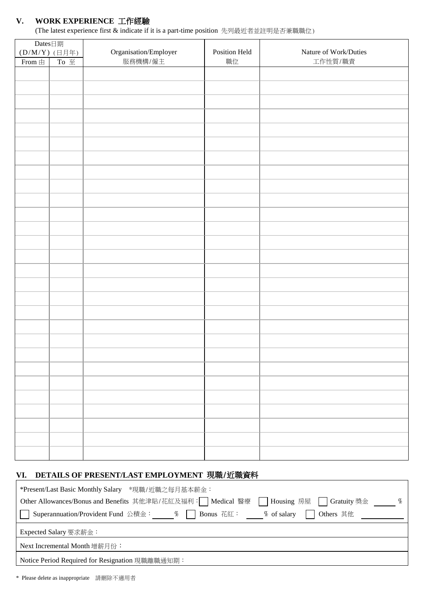# **V. WORK EXPERIENCE** 工作經驗

(The latest experience first & indicate if it is a part-time position 先列最近者並註明是否兼職職位)

| Dates日期                |                                            |                                |               |                       |  |  |  |  |
|------------------------|--------------------------------------------|--------------------------------|---------------|-----------------------|--|--|--|--|
| (D/M/Y) (日月年)          |                                            | $\mbox{Organisation/Emplayer}$ | Position Held | Nature of Work/Duties |  |  |  |  |
| From $\mathop\boxplus$ | To $\Xi$                                   | 服務機構/僱主                        | 職位            | 工作性質/職責               |  |  |  |  |
|                        |                                            |                                |               |                       |  |  |  |  |
|                        |                                            |                                |               |                       |  |  |  |  |
|                        |                                            |                                |               |                       |  |  |  |  |
|                        |                                            |                                |               |                       |  |  |  |  |
|                        |                                            |                                |               |                       |  |  |  |  |
|                        |                                            |                                |               |                       |  |  |  |  |
|                        |                                            |                                |               |                       |  |  |  |  |
|                        |                                            |                                |               |                       |  |  |  |  |
|                        |                                            |                                |               |                       |  |  |  |  |
|                        |                                            |                                |               |                       |  |  |  |  |
|                        |                                            |                                |               |                       |  |  |  |  |
|                        |                                            |                                |               |                       |  |  |  |  |
|                        |                                            |                                |               |                       |  |  |  |  |
|                        |                                            |                                |               |                       |  |  |  |  |
|                        |                                            |                                |               |                       |  |  |  |  |
|                        |                                            |                                |               |                       |  |  |  |  |
|                        |                                            |                                |               |                       |  |  |  |  |
|                        |                                            |                                |               |                       |  |  |  |  |
|                        |                                            |                                |               |                       |  |  |  |  |
|                        |                                            |                                |               |                       |  |  |  |  |
|                        |                                            |                                |               |                       |  |  |  |  |
|                        |                                            |                                |               |                       |  |  |  |  |
|                        |                                            |                                |               |                       |  |  |  |  |
|                        |                                            |                                |               |                       |  |  |  |  |
|                        |                                            |                                |               |                       |  |  |  |  |
|                        |                                            |                                |               |                       |  |  |  |  |
|                        |                                            |                                |               |                       |  |  |  |  |
|                        |                                            |                                |               |                       |  |  |  |  |
|                        |                                            |                                |               |                       |  |  |  |  |
|                        |                                            |                                |               |                       |  |  |  |  |
|                        |                                            |                                |               |                       |  |  |  |  |
|                        |                                            |                                |               |                       |  |  |  |  |
|                        |                                            |                                |               |                       |  |  |  |  |
|                        |                                            |                                |               |                       |  |  |  |  |
|                        |                                            |                                |               |                       |  |  |  |  |
|                        |                                            |                                |               |                       |  |  |  |  |
|                        |                                            |                                |               |                       |  |  |  |  |
|                        |                                            |                                |               |                       |  |  |  |  |
| VI.                    |                                            |                                |               |                       |  |  |  |  |
|                        | DETAILS OF PRESENT/LAST EMPLOYMENT 現職/近職資料 |                                |               |                       |  |  |  |  |

| *Present/Last Basic Monthly Salary *現職/近職之每月基本薪金:                                                              |
|----------------------------------------------------------------------------------------------------------------|
| Other Allowances/Bonus and Benefits 其他津貼/花紅及福利: Medical 醫療<br>Housing 房屋   Gratuity 獎金<br>$\%$<br>$\mathbf{I}$ |
| $%$ of salary<br>Others 其他<br>Bonus 花紅:<br>Superannuation/Provident Fund 公積金: %                                |
| Expected Salary 要求薪金:                                                                                          |
| Next Incremental Month 增薪月份:                                                                                   |
| Notice Period Required for Resignation 現職離職通知期:                                                                |

\* Please delete as inappropriate 請刪除不適用者